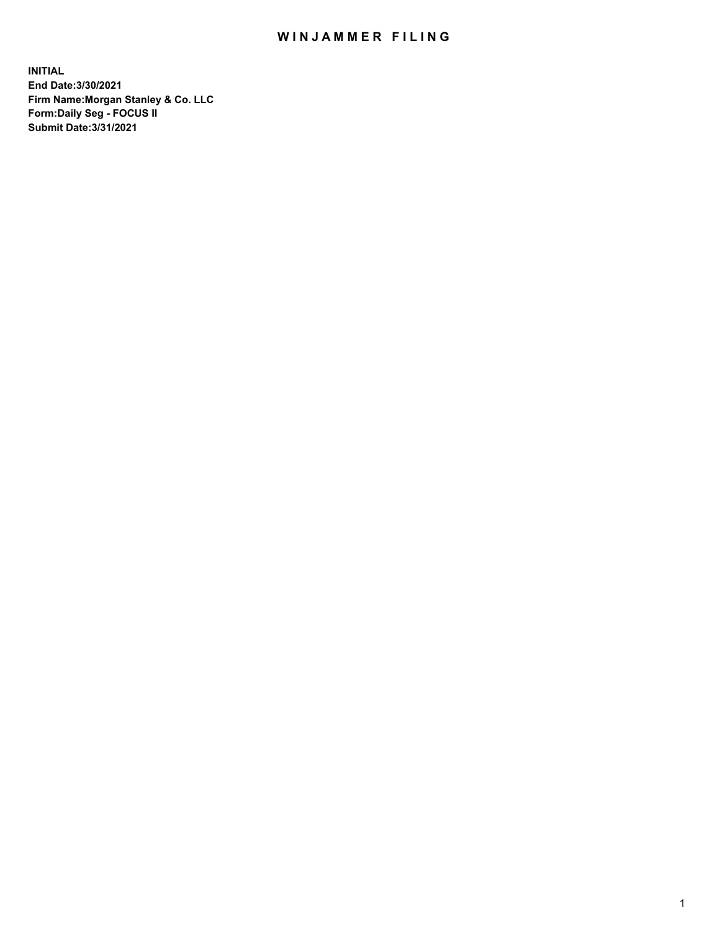## WIN JAMMER FILING

**INITIAL End Date:3/30/2021 Firm Name:Morgan Stanley & Co. LLC Form:Daily Seg - FOCUS II Submit Date:3/31/2021**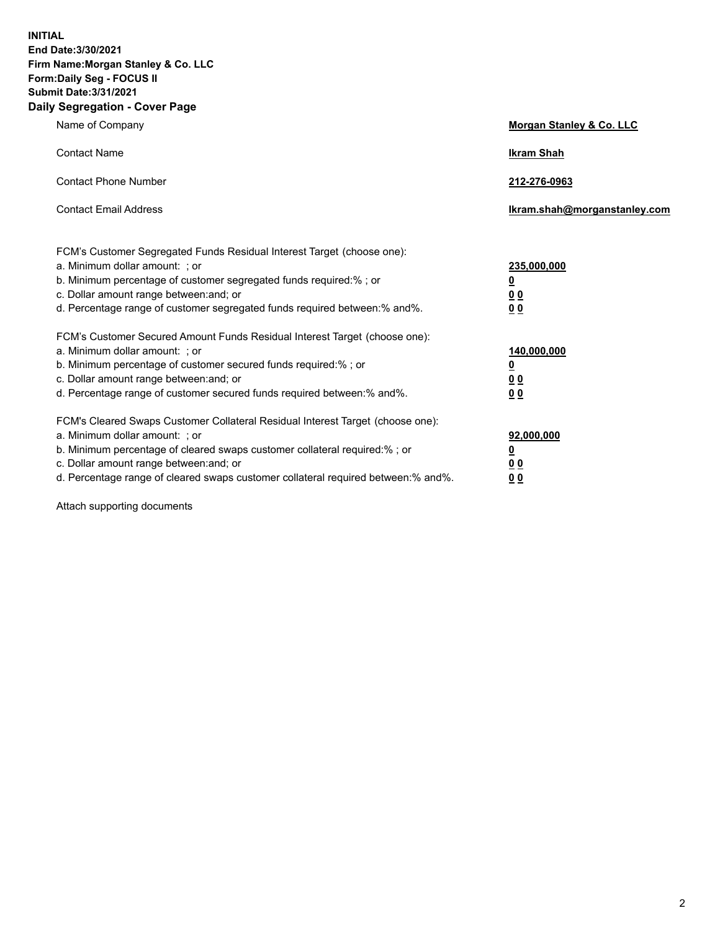**INITIAL End Date:3/30/2021 Firm Name:Morgan Stanley & Co. LLC Form:Daily Seg - FOCUS II Submit Date:3/31/2021 Daily Segregation - Cover Page**

| Name of Company                                                                                                                                                                                                                                                                                                                | <b>Morgan Stanley &amp; Co. LLC</b>                     |
|--------------------------------------------------------------------------------------------------------------------------------------------------------------------------------------------------------------------------------------------------------------------------------------------------------------------------------|---------------------------------------------------------|
| <b>Contact Name</b>                                                                                                                                                                                                                                                                                                            | <b>Ikram Shah</b>                                       |
| <b>Contact Phone Number</b>                                                                                                                                                                                                                                                                                                    | 212-276-0963                                            |
| <b>Contact Email Address</b>                                                                                                                                                                                                                                                                                                   | Ikram.shah@morganstanley.com                            |
| FCM's Customer Segregated Funds Residual Interest Target (choose one):<br>a. Minimum dollar amount: ; or<br>b. Minimum percentage of customer segregated funds required:% ; or<br>c. Dollar amount range between: and; or                                                                                                      | 235,000,000<br><u>0</u><br><u>00</u>                    |
| d. Percentage range of customer segregated funds required between:% and%.<br>FCM's Customer Secured Amount Funds Residual Interest Target (choose one):                                                                                                                                                                        | 0 <sup>0</sup>                                          |
| a. Minimum dollar amount: ; or<br>b. Minimum percentage of customer secured funds required:%; or<br>c. Dollar amount range between: and; or<br>d. Percentage range of customer secured funds required between: % and %.                                                                                                        | 140,000,000<br><u>0</u><br><u>0 0</u><br>0 <sub>0</sub> |
| FCM's Cleared Swaps Customer Collateral Residual Interest Target (choose one):<br>a. Minimum dollar amount: ; or<br>b. Minimum percentage of cleared swaps customer collateral required:% ; or<br>c. Dollar amount range between: and; or<br>d. Percentage range of cleared swaps customer collateral required between:% and%. | 92,000,000<br><u>0</u><br>0 Q<br>0 <sub>0</sub>         |

Attach supporting documents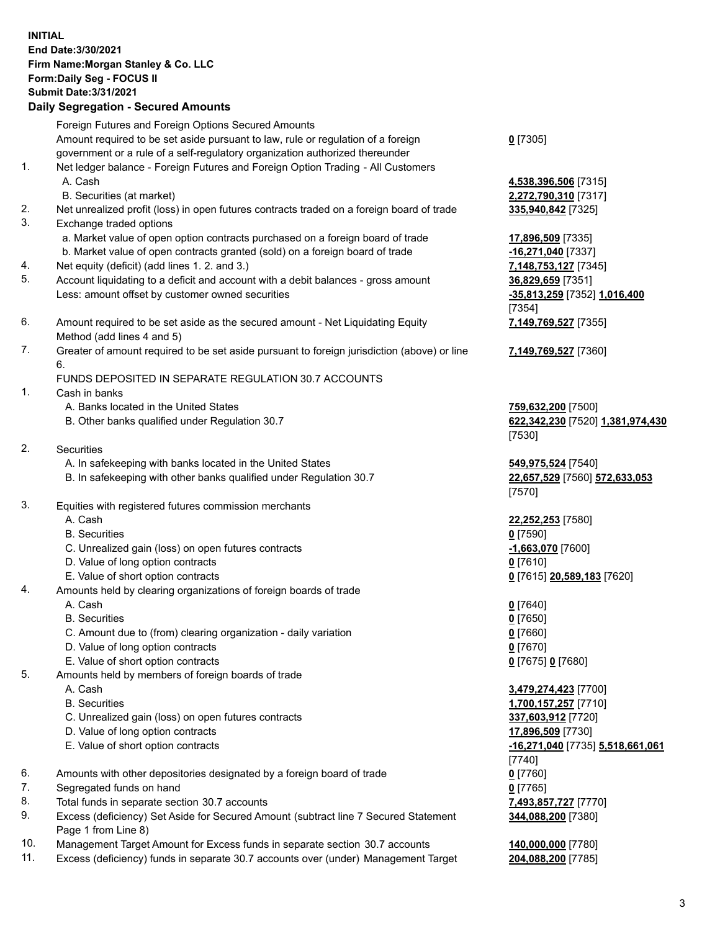## **INITIAL End Date:3/30/2021 Firm Name:Morgan Stanley & Co. LLC Form:Daily Seg - FOCUS II Submit Date:3/31/2021**

**Daily Segregation - Secured Amounts** Foreign Futures and Foreign Options Secured Amounts Amount required to be set aside pursuant to law, rule or regulation of a foreign government or a rule of a self-regulatory organization authorized thereunder 1. Net ledger balance - Foreign Futures and Foreign Option Trading - All Customers A. Cash **4,538,396,506** [7315] B. Securities (at market) **2,272,790,310** [7317] 2. Net unrealized profit (loss) in open futures contracts traded on a foreign board of trade **335,940,842** [7325] 3. Exchange traded options a. Market value of open option contracts purchased on a foreign board of trade **17,896,509** [7335] b. Market value of open contracts granted (sold) on a foreign board of trade **-16,271,040** [7337] 4. Net equity (deficit) (add lines 1. 2. and 3.) **7,148,753,127** [7345] 5. Account liquidating to a deficit and account with a debit balances - gross amount **36,829,659** [7351] Less: amount offset by customer owned securities **-35,813,259** [7352] **1,016,400** 6. Amount required to be set aside as the secured amount - Net Liquidating Equity Method (add lines 4 and 5) 7. Greater of amount required to be set aside pursuant to foreign jurisdiction (above) or line 6. FUNDS DEPOSITED IN SEPARATE REGULATION 30.7 ACCOUNTS 1. Cash in banks A. Banks located in the United States **759,632,200** [7500] B. Other banks qualified under Regulation 30.7 **622,342,230** [7520] **1,381,974,430** 2. Securities A. In safekeeping with banks located in the United States **549,975,524** [7540] B. In safekeeping with other banks qualified under Regulation 30.7 **22,657,529** [7560] **572,633,053** 3. Equities with registered futures commission merchants A. Cash **22,252,253** [7580] B. Securities **0** [7590] C. Unrealized gain (loss) on open futures contracts **-1,663,070** [7600] D. Value of long option contracts **0** [7610] E. Value of short option contracts **0** [7615] **20,589,183** [7620] 4. Amounts held by clearing organizations of foreign boards of trade A. Cash **0** [7640] B. Securities **0** [7650] C. Amount due to (from) clearing organization - daily variation **0** [7660] D. Value of long option contracts **0** [7670] E. Value of short option contracts **0** [7675] **0** [7680] 5. Amounts held by members of foreign boards of trade A. Cash **3,479,274,423** [7700] B. Securities **1,700,157,257** [7710] C. Unrealized gain (loss) on open futures contracts **337,603,912** [7720] D. Value of long option contracts **17,896,509** [7730]

- 
- 6. Amounts with other depositories designated by a foreign board of trade **0** [7760]
- 7. Segregated funds on hand **0** [7765]
- 8. Total funds in separate section 30.7 accounts **7,493,857,727** [7770]
- 9. Excess (deficiency) Set Aside for Secured Amount (subtract line 7 Secured Statement Page 1 from Line 8)
- 10. Management Target Amount for Excess funds in separate section 30.7 accounts **140,000,000** [7780]
- 11. Excess (deficiency) funds in separate 30.7 accounts over (under) Management Target **204,088,200** [7785]

**0** [7305]

[7354] **7,149,769,527** [7355]

**7,149,769,527** [7360]

[7530]

[7570]

 E. Value of short option contracts **-16,271,040** [7735] **5,518,661,061** [7740] **344,088,200** [7380]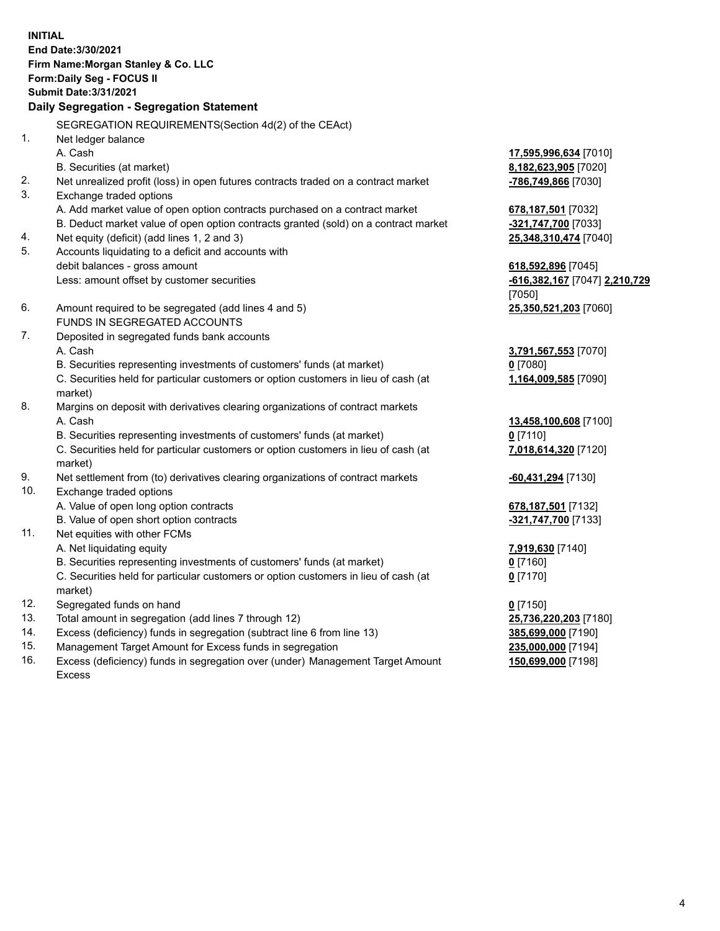**INITIAL End Date:3/30/2021 Firm Name:Morgan Stanley & Co. LLC Form:Daily Seg - FOCUS II Submit Date:3/31/2021 Daily Segregation - Segregation Statement** SEGREGATION REQUIREMENTS(Section 4d(2) of the CEAct) 1. Net ledger balance A. Cash **17,595,996,634** [7010] B. Securities (at market) **8,182,623,905** [7020] 2. Net unrealized profit (loss) in open futures contracts traded on a contract market **-786,749,866** [7030] 3. Exchange traded options A. Add market value of open option contracts purchased on a contract market **678,187,501** [7032] B. Deduct market value of open option contracts granted (sold) on a contract market **-321,747,700** [7033] 4. Net equity (deficit) (add lines 1, 2 and 3) **25,348,310,474** [7040] 5. Accounts liquidating to a deficit and accounts with debit balances - gross amount **618,592,896** [7045] Less: amount offset by customer securities **-616,382,167** [7047] **2,210,729** [7050] 6. Amount required to be segregated (add lines 4 and 5) **25,350,521,203** [7060] FUNDS IN SEGREGATED ACCOUNTS 7. Deposited in segregated funds bank accounts A. Cash **3,791,567,553** [7070] B. Securities representing investments of customers' funds (at market) **0** [7080] C. Securities held for particular customers or option customers in lieu of cash (at market) **1,164,009,585** [7090] 8. Margins on deposit with derivatives clearing organizations of contract markets A. Cash **13,458,100,608** [7100] B. Securities representing investments of customers' funds (at market) **0** [7110] C. Securities held for particular customers or option customers in lieu of cash (at market) **7,018,614,320** [7120] 9. Net settlement from (to) derivatives clearing organizations of contract markets **-60,431,294** [7130] 10. Exchange traded options A. Value of open long option contracts **678,187,501** [7132] B. Value of open short option contracts **-321,747,700** [7133] 11. Net equities with other FCMs A. Net liquidating equity **7,919,630** [7140] B. Securities representing investments of customers' funds (at market) **0** [7160] C. Securities held for particular customers or option customers in lieu of cash (at market) **0** [7170] 12. Segregated funds on hand **0** [7150] 13. Total amount in segregation (add lines 7 through 12) **25,736,220,203** [7180] 14. Excess (deficiency) funds in segregation (subtract line 6 from line 13) **385,699,000** [7190]

- 15. Management Target Amount for Excess funds in segregation **235,000,000** [7194]
- 16. Excess (deficiency) funds in segregation over (under) Management Target Amount Excess

**150,699,000** [7198]